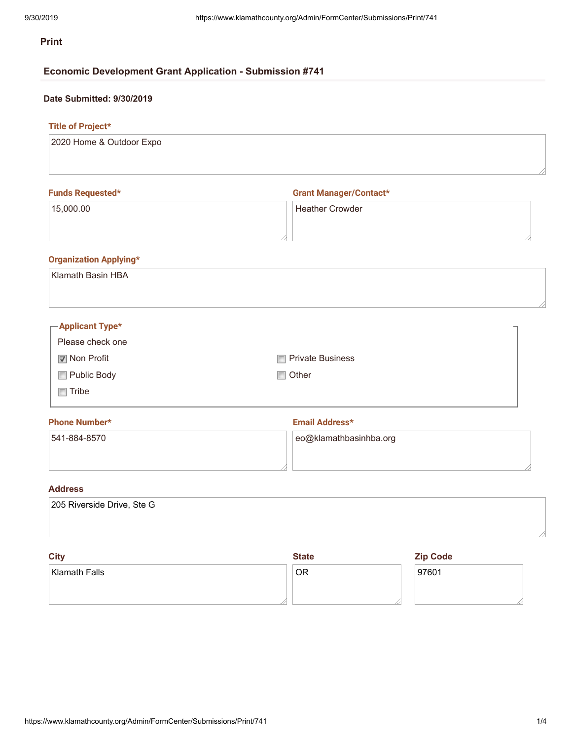# **Print**

# **Economic Development Grant Application - Submission #741**

# **Date Submitted: 9/30/2019**

# **Title of Project\***

| 2020 Home & Outdoor Expo |
|--------------------------|
|                          |
|                          |
|                          |

| <b>Funds Requested*</b> | <b>Grant Manager/Contact*</b> |  |  |  |
|-------------------------|-------------------------------|--|--|--|
| 15,000.00               | <b>Heather Crowder</b>        |  |  |  |
|                         |                               |  |  |  |

# **Organization Applying\***

| <b>Klamath Basin HBA</b> |                    |    |
|--------------------------|--------------------|----|
|                          |                    | // |
| $\Gamma$ Applicant Type* |                    |    |
| Please check one         |                    |    |
| Mon Profit               | □ Private Business |    |
| Public Body              | $\Box$ Other       |    |
| $\Box$ Tribe             |                    |    |
| Dhong Numbert            | Email Address+     |    |

| <b>Phone Number*</b> | Email Address*             |  |  |  |
|----------------------|----------------------------|--|--|--|
| 541-884-8570         | $ $ eo@klamathbasinhba.org |  |  |  |
|                      |                            |  |  |  |

# **Address**

| City                       | <b>State</b> | <b>Zip Code</b> |  |
|----------------------------|--------------|-----------------|--|
|                            |              |                 |  |
| 205 Riverside Drive, Ste G |              |                 |  |

| $\sim$               | $\sim$ | $L_{\rm P}$ over |  |  |
|----------------------|--------|------------------|--|--|
| <b>Klamath Falls</b> | ΟR     | 97601            |  |  |
|                      |        |                  |  |  |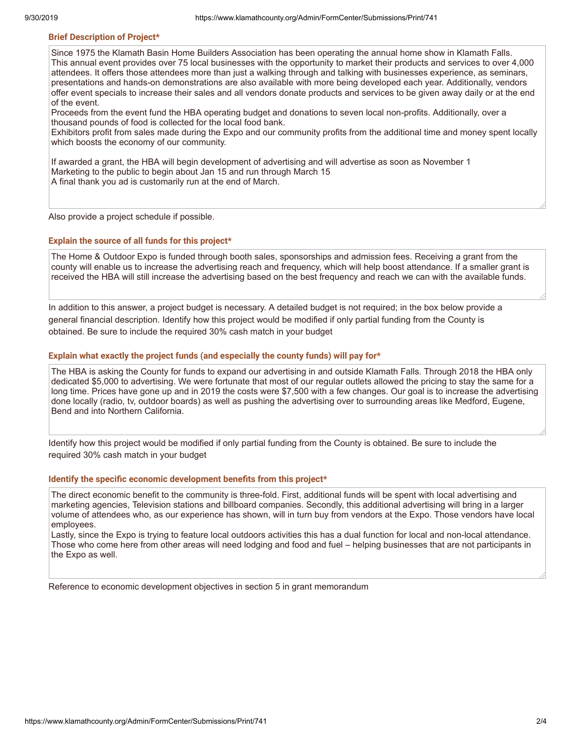### **Brief Description of Project\***

Since 1975 the Klamath Basin Home Builders Association has been operating the annual home show in Klamath Falls. This annual event provides over 75 local businesses with the opportunity to market their products and services to over 4,000 attendees. It offers those attendees more than just a walking through and talking with businesses experience, as seminars, presentations and hands-on demonstrations are also available with more being developed each year. Additionally, vendors offer event specials to increase their sales and all vendors donate products and services to be given away daily or at the end of the event.

Proceeds from the event fund the HBA operating budget and donations to seven local non-profits. Additionally, over a thousand pounds of food is collected for the local food bank.

Exhibitors profit from sales made during the Expo and our community profits from the additional time and money spent locally which boosts the economy of our community.

If awarded a grant, the HBA will begin development of advertising and will advertise as soon as November 1 Marketing to the public to begin about Jan 15 and run through March 15 A final thank you ad is customarily run at the end of March.

Also provide a project schedule if possible.

#### **Explain the source of all funds for this project\***

The Home & Outdoor Expo is funded through booth sales, sponsorships and admission fees. Receiving a grant from the county will enable us to increase the advertising reach and frequency, which will help boost attendance. If a smaller grant is received the HBA will still increase the advertising based on the best frequency and reach we can with the available funds.

In addition to this answer, a project budget is necessary. A detailed budget is not required; in the box below provide a general financial description. Identify how this project would be modified if only partial funding from the County is obtained. Be sure to include the required 30% cash match in your budget

### **Explain what exactly the project funds (and especially the county funds) will pay for\***

The HBA is asking the County for funds to expand our advertising in and outside Klamath Falls. Through 2018 the HBA only dedicated \$5,000 to advertising. We were fortunate that most of our regular outlets allowed the pricing to stay the same for a long time. Prices have gone up and in 2019 the costs were \$7,500 with a few changes. Our goal is to increase the advertising done locally (radio, tv, outdoor boards) as well as pushing the advertising over to surrounding areas like Medford, Eugene, Bend and into Northern California.

Identify how this project would be modified if only partial funding from the County is obtained. Be sure to include the required 30% cash match in your budget

#### **Identify the specific economic development benefits from this project\***

The direct economic benefit to the community is three-fold. First, additional funds will be spent with local advertising and marketing agencies, Television stations and billboard companies. Secondly, this additional advertising will bring in a larger volume of attendees who, as our experience has shown, will in turn buy from vendors at the Expo. Those vendors have local employees.

Lastly, since the Expo is trying to feature local outdoors activities this has a dual function for local and non-local attendance. Those who come here from other areas will need lodging and food and fuel – helping businesses that are not participants in the Expo as well.

Reference to economic development objectives in section 5 in grant memorandum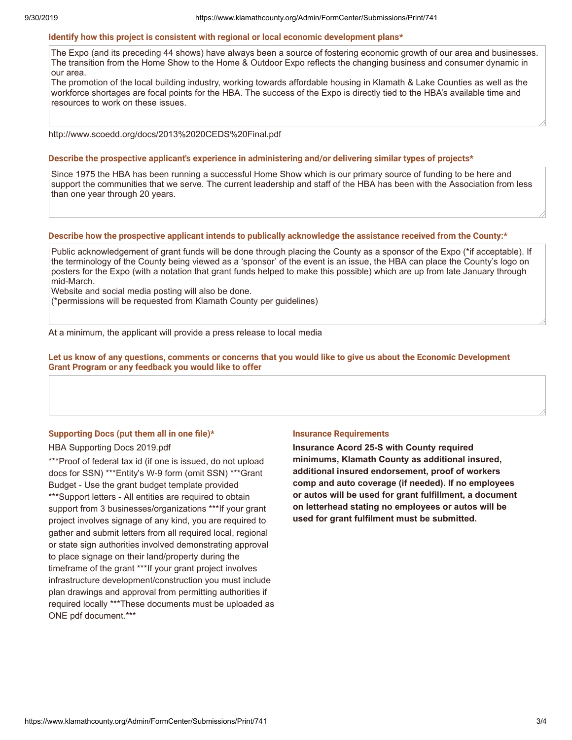#### **Identify how this project is consistent with regional or local economic development plans\***

The Expo (and its preceding 44 shows) have always been a source of fostering economic growth of our area and businesses. The transition from the Home Show to the Home & Outdoor Expo reflects the changing business and consumer dynamic in our area.

The promotion of the local building industry, working towards affordable housing in Klamath & Lake Counties as well as the workforce shortages are focal points for the HBA. The success of the Expo is directly tied to the HBA's available time and resources to work on these issues.

http://www.scoedd.org/docs/2013%2020CEDS%20Final.pdf

#### **Describe the prospective applicant's experience in administering and/or delivering similar types of projects\***

Since 1975 the HBA has been running a successful Home Show which is our primary source of funding to be here and support the communities that we serve. The current leadership and staff of the HBA has been with the Association from less than one year through 20 years.

### **Describe how the prospective applicant intends to publically acknowledge the assistance received from the County:\***

Public acknowledgement of grant funds will be done through placing the County as a sponsor of the Expo (\*if acceptable). If the terminology of the County being viewed as a 'sponsor' of the event is an issue, the HBA can place the County's logo on posters for the Expo (with a notation that grant funds helped to make this possible) which are up from late January through mid-March.

Website and social media posting will also be done.

(\*permissions will be requested from Klamath County per guidelines)

At a minimum, the applicant will provide a press release to local media

Let us know of any questions, comments or concerns that you would like to give us about the Economic Development **Grant Program or any feedback you would like to offer**

### **Supporting Docs (put them all in one file)\***

## HBA Supporting Docs 2019.pdf

\*\*\*Proof of federal tax id (if one is issued, do not upload docs for SSN) \*\*\*Entity's W-9 form (omit SSN) \*\*\*Grant Budget - Use the grant budget template provided \*\*\*Support letters - All entities are required to obtain support from 3 businesses/organizations \*\*\*If your grant project involves signage of any kind, you are required to gather and submit letters from all required local, regional or state sign authorities involved demonstrating approval to place signage on their land/property during the timeframe of the grant \*\*\*If your grant project involves infrastructure development/construction you must include plan drawings and approval from permitting authorities if required locally \*\*\*These documents must be uploaded as ONE pdf document.\*\*\*

### **Insurance Requirements**

**Insurance Acord 25-S with County required minimums, Klamath County as additional insured, additional insured endorsement, proof of workers comp and auto coverage (if needed). If no employees or autos will be used for grant fulfillment, a document on letterhead stating no employees or autos will be used for grant fulfilment must be submitted.**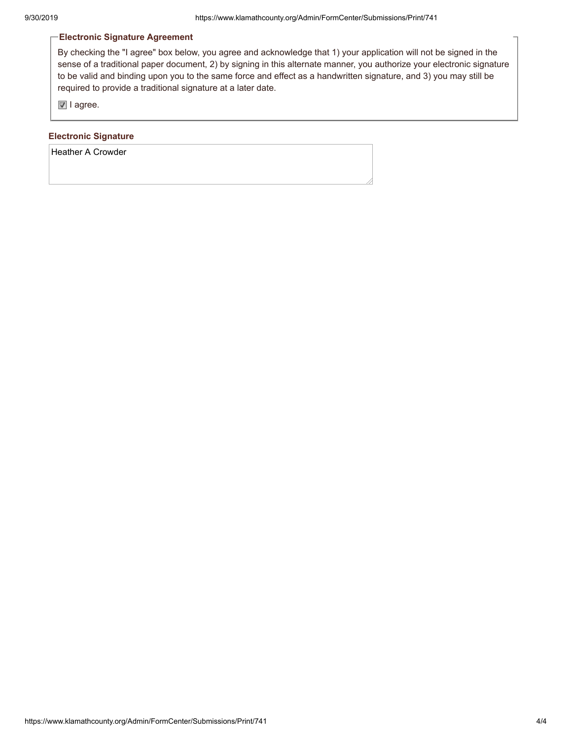# **Electronic Signature Agreement**

By checking the "I agree" box below, you agree and acknowledge that 1) your application will not be signed in the sense of a traditional paper document, 2) by signing in this alternate manner, you authorize your electronic signature to be valid and binding upon you to the same force and effect as a handwritten signature, and 3) you may still be required to provide a traditional signature at a later date.

I agree.

## **Electronic Signature**

Heather A Crowder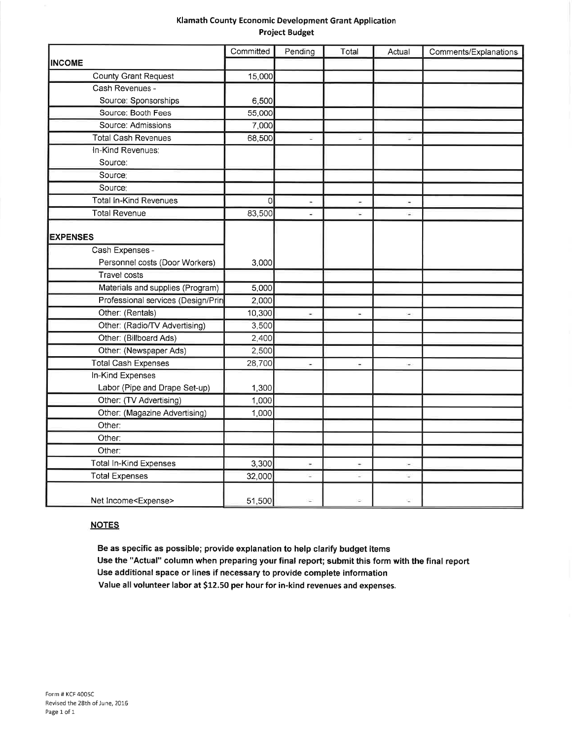## Klamath County Economic Development Grant Application **Project Budget**

|                                    | Committed | Pending              | Total    | Actual                   | Comments/Explanations |
|------------------------------------|-----------|----------------------|----------|--------------------------|-----------------------|
| <b>INCOME</b>                      |           |                      |          |                          |                       |
| <b>County Grant Request</b>        | 15,000    |                      |          |                          |                       |
| Cash Revenues -                    |           |                      |          |                          |                       |
| Source: Sponsorships               | 6,500     |                      |          |                          |                       |
| Source: Booth Fees                 | 55,000    |                      |          |                          |                       |
| Source: Admissions                 | 7,000     |                      |          |                          |                       |
| <b>Total Cash Revenues</b>         | 68,500    | ¥                    | $\equiv$ | ÷.                       |                       |
| In-Kind Revenues:                  |           |                      |          |                          |                       |
| Source:                            |           |                      |          |                          |                       |
| Source:                            |           |                      |          |                          |                       |
| Source:                            |           |                      |          |                          |                       |
| <b>Total In-Kind Revenues</b>      | 0         | $\ddot{\phantom{1}}$ | $\sim$   | $\overline{\phantom{a}}$ |                       |
| <b>Total Revenue</b>               | 83,500    | ä,                   | ω,       | ¥.                       |                       |
|                                    |           |                      |          |                          |                       |
| <b>EXPENSES</b>                    |           |                      |          |                          |                       |
| Cash Expenses -                    |           |                      |          |                          |                       |
| Personnel costs (Door Workers)     | 3,000     |                      |          |                          |                       |
| <b>Travel costs</b>                |           |                      |          |                          |                       |
| Materials and supplies (Program)   | 5,000     |                      |          |                          |                       |
| Professional services (Design/Prin | 2,000     |                      |          |                          |                       |
| Other: (Rentals)                   | 10,300    | ۰                    | ÷        | $\omega$                 |                       |
| Other: (Radio/TV Advertising)      | 3,500     |                      |          |                          |                       |
| Other: (Billboard Ads)             | 2,400     |                      |          |                          |                       |
| Other: (Newspaper Ads)             | 2,500     |                      |          |                          |                       |
| <b>Total Cash Expenses</b>         | 28,700    | u,                   | ä,       | ω,                       |                       |
| In-Kind Expenses                   |           |                      |          |                          |                       |
| Labor (Pipe and Drape Set-up)      | 1,300     |                      |          |                          |                       |
| Other: (TV Advertising)            | 1,000     |                      |          |                          |                       |
| Other: (Magazine Advertising)      | 1,000     |                      |          |                          |                       |
| Other:                             |           |                      |          |                          |                       |
| Other:                             |           |                      |          |                          |                       |
| Other:                             |           |                      |          |                          |                       |
| <b>Total In-Kind Expenses</b>      | 3,300     | ×                    |          |                          |                       |
| <b>Total Expenses</b>              | 32,000    | ÷                    | ٠        | ٠                        |                       |
| Net Income <expense></expense>     | 51,500    |                      |          |                          |                       |

# **NOTES**

Be as specific as possible; provide explanation to help clarify budget items Use the "Actual" column when preparing your final report; submit this form with the final report Use additional space or lines if necessary to provide complete information Value all volunteer labor at \$12.50 per hour for in-kind revenues and expenses.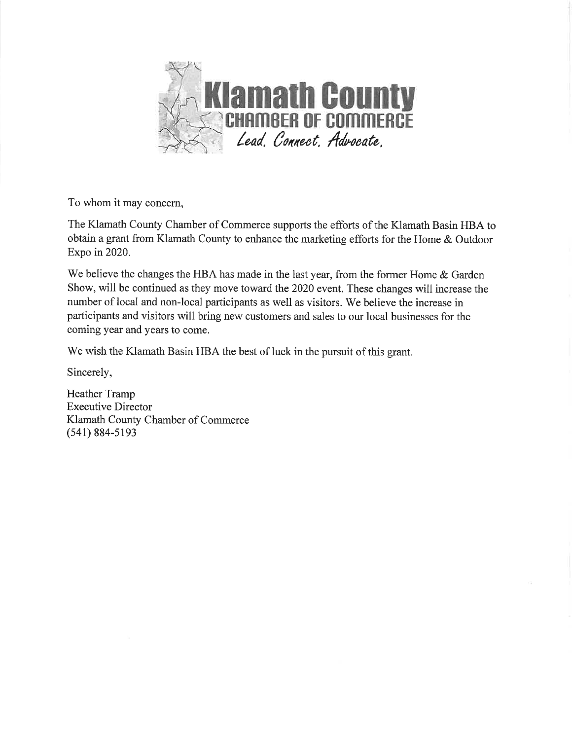

To whom it may concern,

The Klamath County Chamber of Commerce supports the efforts of the Klamath Basin HBA to obtain a grant from Klamath County to enhance the marketing efforts for the Home & Outdoor Expo in 2020.

We believe the changes the HBA has made in the last year, from the former Home & Garden Show, will be continued as they move toward the 2020 event. These changes will increase the number of local and non-local participants as well as visitors. We believe the increase in participants and visitors will bring new customers and sales to our local businesses for the coming year and years to come.

We wish the Klamath Basin HBA the best of luck in the pursuit of this grant.

Sincerely,

Heather Tramp **Executive Director** Klamath County Chamber of Commerce  $(541) 884 - 5193$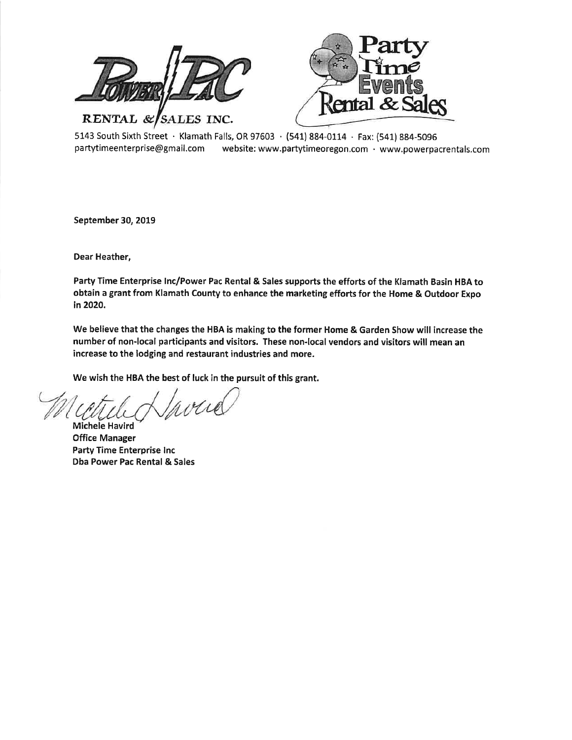

5143 South Sixth Street · Klamath Falls, OR 97603 · (541) 884-0114 · Fax: (541) 884-5096 partytimeenterprise@gmail.com website: www.partytimeoregon.com · www.powerpacrentals.com

September 30, 2019

Dear Heather,

Party Time Enterprise Inc/Power Pac Rental & Sales supports the efforts of the Klamath Basin HBA to obtain a grant from Klamath County to enhance the marketing efforts for the Home & Outdoor Expo in 2020.

We believe that the changes the HBA is making to the former Home & Garden Show will increase the number of non-local participants and visitors. These non-local vendors and visitors will mean an increase to the lodging and restaurant industries and more.

We wish the HBA the best of luck in the pursuit of this grant.

 $41$ 

**Michele Havird Office Manager Party Time Enterprise Inc** Dba Power Pac Rental & Sales